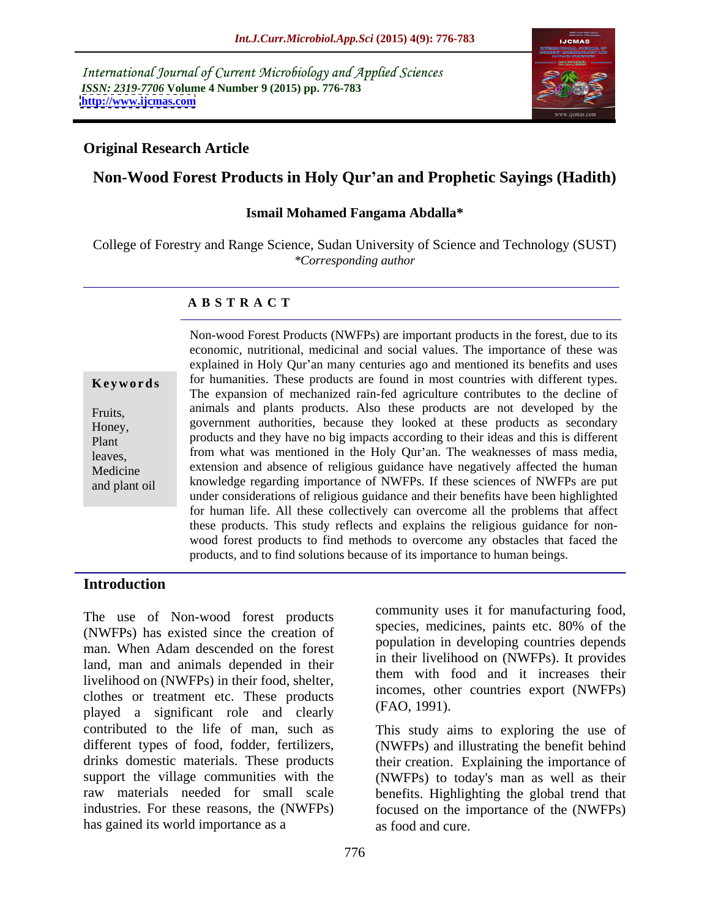International Journal of Current Microbiology and Applied Sciences *ISSN: 2319-7706* **Volume 4 Number 9 (2015) pp. 776-783 <http://www.ijcmas.com>**



### **Original Research Article**

# **Non-Wood Forest Products in Holy Qur an and Prophetic Sayings (Hadith)**

### **Ismail Mohamed Fangama Abdalla\***

College of Forestry and Range Science, Sudan University of Science and Technology (SUST) *\*Corresponding author*

### **A B S T R A C T**

and plant oil

Non-wood Forest Products (NWFPs) are important products in the forest, due to its economic, nutritional, medicinal and social values. The importance of these was explained in Holy Qur'an many centuries ago and mentioned its benefits and uses **Keywords** for humanities. These products are found in most countries with different types. The expansion of mechanized rain-fed agriculture contributes to the decline of animals and plants products. Also these products are not developed by the Fruits, government authorities, because they looked at these products as secondary Honey, products and they have no big impacts according to their ideas and this is different Plant from what was mentioned in the Holy Qur'an. The weaknesses of mass media,<br>Medicine extension and absence of religious guidance have negatively affected the human knowledge regarding importance of NWFPs. If these sciences of NWFPs are put under considerations of religious guidance and their benefits have been highlighted for human life. All these collectively can overcome all the problems that affect these products. This study reflects and explains the religious guidance for non wood forest products to find methods to overcome any obstacles that faced the products, and to find solutions because of its importance to human beings. leaves. from what was mentioned in the Holy Qur'an. The weaknesses of mass media,

### **Introduction**

The use of Non-wood forest products<br>
species, medicines, paints etc. 80% of the<br>
species, medicines, paints etc. 80% of the (NWFPs) has existed since the creation of man. When Adam descended on the forest land, man and animals depended in their livelihood on (NWFPs) in their food, shelter, clothes or treatment etc. These products<br>relationships and closely (FAO, 1991). played a significant role and clearly contributed to the life of man, such as This study aims to exploring the use of different types of food, fodder, fertilizers, (NWFPs) and illustrating the benefit behind drinks domestic materials. These products their creation. Explaining the importance of support the village communities with the (NWFPs) to today's man as well as their raw materials needed for small scale benefits. Highlighting the global trend that industries. For these reasons, the (NWFPs) focused on the importance of the (NWFPs) has gained its world importance as a second and cure.

community uses it for manufacturing food, species, medicines, paints etc. 80% of the population in developing countries depends in their livelihood on (NWFPs). It provides them with food and it increases their incomes, other countries export (NWFPs) (FAO, 1991).

as food and cure.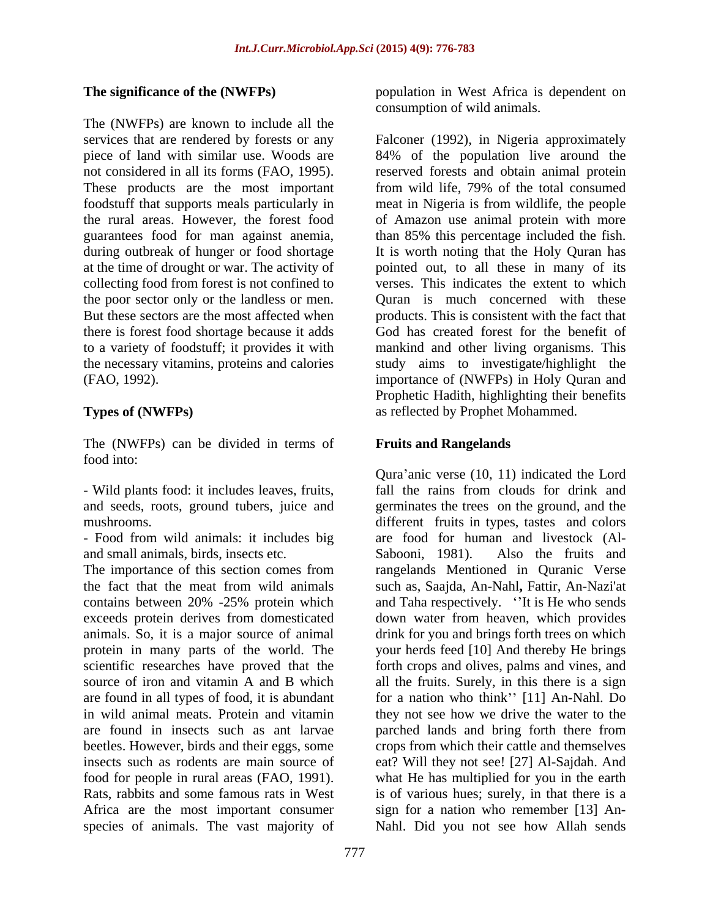The (NWFPs) are known to include all the at the time of drought or war. The activity of the poor sector only or the landless or men.

The (NWFPs) can be divided in terms of food into:

- Wild plants food: it includes leaves, fruits, and seeds, roots, ground tubers, juice and

- Food from wild animals: it includes big and small animals, birds, insects etc. Sabooni, 1981). Also the fruits and

The importance of this section comes from source of iron and vitamin A and B which species of animals. The vast majority of

**The significance of the (NWFPs)** population in West Africa is dependent on consumption of wild animals.

services that are rendered by forests or any Falconer (1992), in Nigeria approximately piece of land with similar use. Woods are 84% of the population live around the not considered in all its forms (FAO, 1995). reserved forests and obtain animal protein These products are the most important from wild life, 79% of the total consumed foodstuff that supports meals particularly in meat in Nigeria is from wildlife, the people the rural areas. However, the forest food of Amazon use animal protein with more guarantees food for man against anemia, than 85% this percentage included the fish. during outbreak of hunger or food shortage It is worth noting that the Holy Quran has collecting food from forest is not confined to verses. This indicates the extent to which But these sectors are the most affected when products. This is consistent with the fact that there is forest food shortage because it adds God has created forest for the benefit of to a variety of foodstuff; it provides it with mankind and other living organisms. This the necessary vitamins, proteins and calories study aims to investigate/highlight the (FAO, 1992). importance of (NWFPs) in Holy Quran and **Types of (NWFPs)** as reflected by Prophet Mohammed. pointed out, to all these in many of its Quran is much concerned with these Prophetic Hadith, highlighting their benefits

# **Fruits and Rangelands**

mushrooms. different fruits in types, tastes and colors the fact that the meat from wild animals such as, Saajda, An-Nahl**,** Fattir, An-Nazi'at contains between 20% -25% protein which and Taha respectively. "It is He who sends exceeds protein derives from domesticated down water from heaven, which provides animals. So, it is a major source of animal drink for you and brings forth trees on which protein in many parts of the world. The your herds feed [10] And thereby He brings scientific researches have proved that the forth crops and olives, palms and vines, and are found in all types of food, it is abundant for a nation who think'' [11] An-Nahl. Do in wild animal meats. Protein and vitamin they not see how we drive the water to the are found in insects such as ant larvae parched lands and bring forth there from beetles. However, birds and their eggs, some crops from which their cattle and themselves insects such as rodents are main source of eat? Will they not see! [27] Al-Sajdah. And food for people in rural areas (FAO, 1991). what He has multiplied for you in the earth Rats, rabbits and some famous rats in West is of various hues; surely, in that there is a Africa are the most important consumer sign for a nation who remember [13] An- Qura'anic verse  $(10, 11)$  indicated the Lord fall the rains from clouds for drink and germinates the trees on the ground, and the are food for human and livestock (Al- Sabooni, 1981). Also the fruits and rangelands Mentioned in Quranic Verse all the fruits. Surely, in this there is a sign Nahl. Did you not see how Allah sends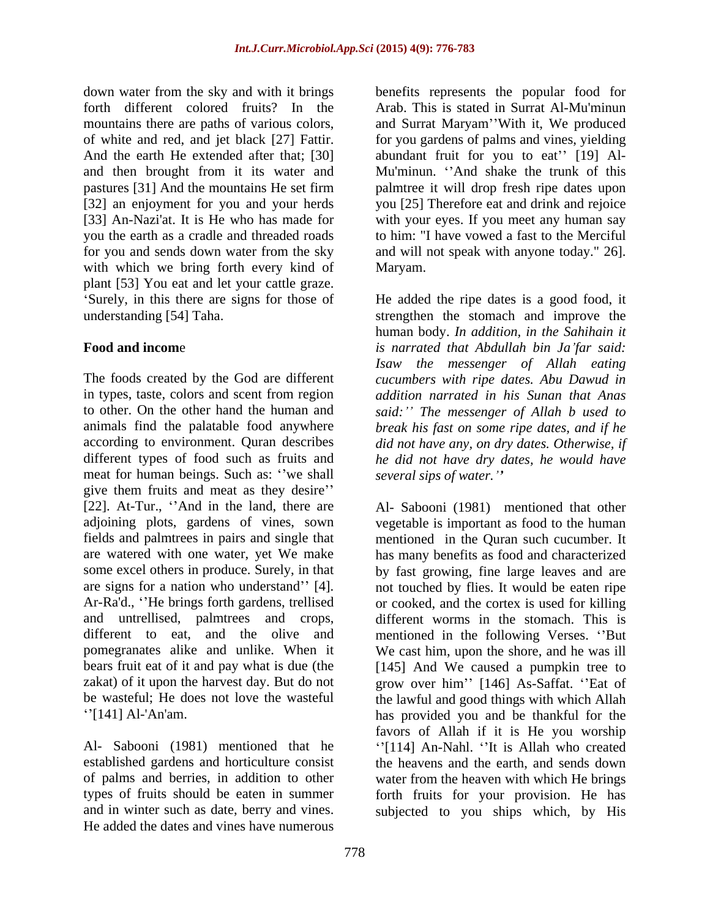down water from the sky and with it brings benefits represents the popular food for forth different colored fruits? In the Arab. This is stated in Surrat Al-Mu'minun mountains there are paths of various colors, and Surrat Maryam 'With it, We produced of white and red, and jet black [27] Fattir. for you gardens of palms and vines, yielding And the earth He extended after that; [30] abundant fruit for you to eat" [19] Aland then brought from it its water and Mu'minun. 'And shake the trunk of this pastures [31] And the mountains He set firm palmtree it will drop fresh ripe dates upon [32] an enjoyment for you and your herds you [25] Therefore eat and drink and rejoice [33] An-Nazi'at. It is He who has made for with your eyes. If you meet any human say you the earth as a cradle and threaded roads to him: "I have vowed a fast to the Merciful for you and sends down water from the sky and will not speak with anyone today." 26]. with which we bring forth every kind of Maryam. plant [53] You eat and let your cattle graze.

The foods created by the God are different *cucumbers with ripe dates. Abu Dawud in* in types, taste, colors and scent from region *addition narrated in his Sunan that Anas* to other. On the other hand the human and *said: The messenger of Allah b used to* animals find the palatable food anywhere *break his fast on some ripe dates, and if he* according to environment. Quran describes *did not have any, on dry dates. Otherwise, if* different types of food such as fruits and *he did not have dry dates, he would have* meat for human beings. Such as: "we shall give them fruits and meat as they desire [22]. At-Tur., "And in the land, there are  $\Delta l$ - Sabooni (1981) mentioned that other adjoining plots, gardens of vines, sown vegetable is important as food to the human fields and palmtrees in pairs and single that mentioned in the Quran such cucumber. It are watered with one water, yet We make has many benefits as food and characterized some excel others in produce. Surely, in that by fast growing, fine large leaves and are are signs for a nation who understand" [4]. not touched by flies. It would be eaten ripe Ar-Ra'd., "He brings forth gardens, trellised or cooked, and the cortex is used for killing and untrellised, palmtrees and crops, different to eat, and the olive and mentioned in the following Verses. "But pomegranates alike and unlike. When it bears fruit eat of it and pay what is due (the [145] And We caused a pumpkin tree to zakat) of it upon the harvest day. But do not grow over him'' [146] As-Saffat. "Eat of be wasteful; He does not love the wasteful the lawful and good things with which Allah

established gardens and horticulture consist of palms and berries, in addition to other and in winter such as date, berry and vines. subjected to you ships which, by HisHe added the dates and vines have numerous

Maryam.

Surely, in this there are signs for those of He added the ripe dates is a good food, it understanding [54] Taha. strengthen the stomach and improve the **Food and incom**e *is narrated that Abdullah bin Ja far said:* human body. *In addition, in the Sahihain it Isaw the messenger of Allah eating several sips of water.*

[141] Al-'An'am. has provided you and be thankful for the Al- Sabooni (1981) mentioned that he  $\lq$ <sup>114</sup>] An-Nahl. The is Allah who created types of fruits should be eaten in summer forth fruits for your provision. He has different worms in the stomach. This is We cast him, upon the shore, and he was ill favors of Allah if it is He you worship the heavens and the earth, and sends down water from the heaven with which He brings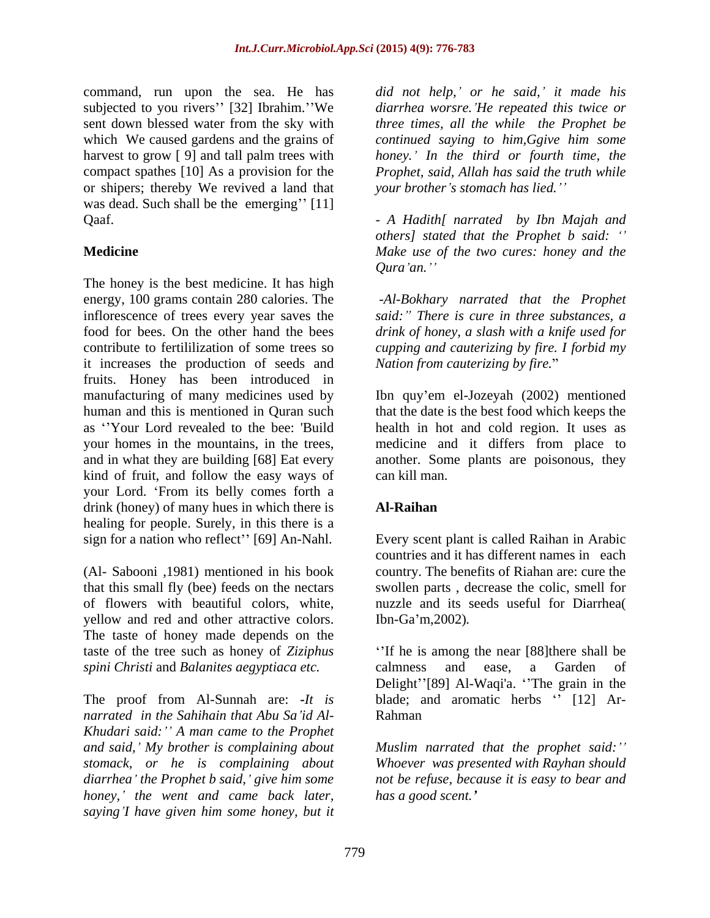subjected to you rivers" [32] Ibrahim." We compact spathes [10] As a provision for the or shipers; thereby We revived a land that was dead. Such shall be the emerging"  $[11]$ 

The honey is the best medicine. It has high energy, 100 grams contain 280 calories. The -*Al-Bokhary narrated that the Prophet* inflorescence of trees every year saves the food for bees. On the other hand the bees *drink of honey, a slash with a knife used for* contribute to fertililization of some trees so *cupping and cauterizing by fire. I forbid my* it increases the production of seeds and fruits. Honey has been introduced in manufacturing of many medicines used by lbn quy'em el-Jozeyah (2002) mentioned human and this is mentioned in Quran such that the date is the best food which keeps the as Your Lord revealed to the bee: 'Build health in hot and cold region. It uses as your homes in the mountains, in the trees, medicine and it differs from place to and in what they are building [68] Eat every another. Some plants are poisonous, they kind of fruit, and follow the easy ways of can kill man. your Lord. From its belly comes forth a drink (honey) of many hues in which there is **Al-Raihan** healing for people. Surely, in this there is a sign for a nation who reflect" [69] An-Nahl. Every scent plant is called Raihan in Arabic

(Al- Sabooni ,1981) mentioned in his book yellow and red and other attractive colors. Ibn-Ga'm, 2002). The taste of honey made depends on the *spini Christi* and *Balanites aegyptiaca etc.*

*narrated in the Sahihain that Abu Sa id Al- Khudari said: A man came to the Prophet honey, the went and came back later, saying I have given him some honey, but it*

command, run upon the sea. He has *did not help, or he said, it made his* sent down blessed water from the sky with *three times, all the while the Prophet be* which We caused gardens and the grains of *continued saying to him,Ggive him some* harvest to grow [ 9] and tall palm trees with *honey. In the third or fourth time, the diarrhea worsre. He repeated this twice or Prophet, said, Allah has said the truth while your brother s stomach has lied.*

Qaaf. *- A Hadith[ narrated by Ibn Majah and* **Medicine**  *Make use of the two cures: honey and the others] stated that the Prophet b said: Qura an.*

> *said: There is cure in three substances, a Nation from cauterizing by fire.*

can kill man.

# **Al-Raihan**

that this small fly (bee) feeds on the nectars swollen parts , decrease the colic, smell for of flowers with beautiful colors, white, nuzzle and its seeds useful for Diarrhea( countries and it has different names in each country. The benefits of Riahan are: cure the Ibn-Ga m,2002)*.*

taste of the tree such as honey of *Ziziphus*  If he is among the near [88]there shall be The proof from Al-Sunnah are: *It is* blade; and aromatic herbs  $\cdot$  [12] Arcalmness and ease, a Garden of Delight"[89] Al-Waqi'a. "The grain in the Rahman **Rahman** 

*and said, My brother is complaining about Muslim narrated that the prophet said: stomack, or he is complaining about Whoever was presented with Rayhan should diarrhea the Prophet b said, give him some not be refuse, because it is easy to bear and has a good scent.*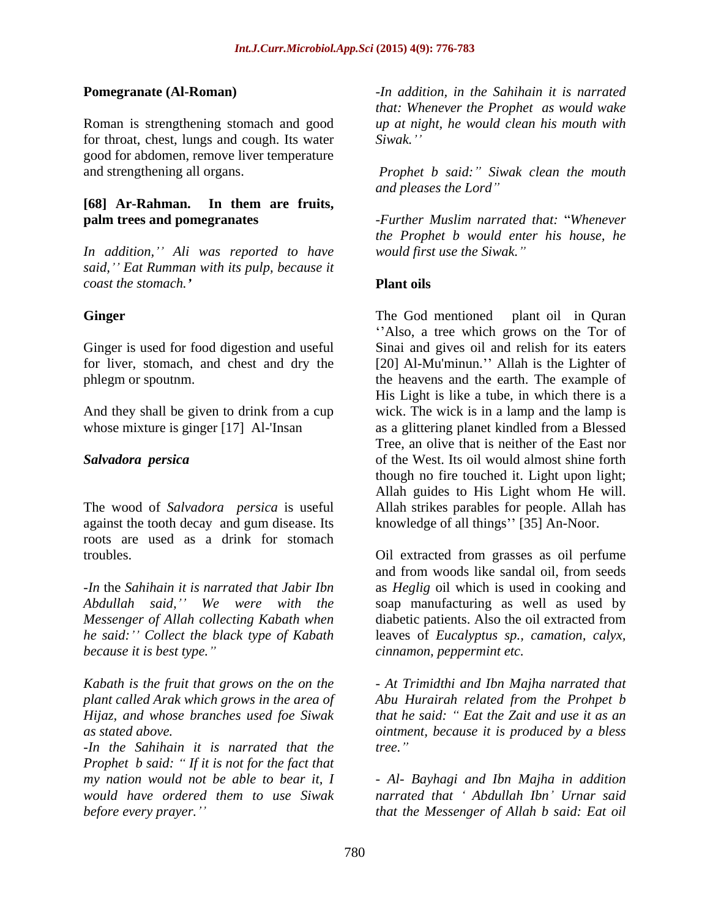Roman is strengthening stomach and good *up at night, he would clean his mouth with* for throat, chest, lungs and cough. Its water Siwak." good for abdomen, remove liver temperature and strengthening all organs. *Prophet b said: Siwak clean the mouth*

# **[68] Ar-Rahman. In them are fruits,**

*In addition, Ali was reported to have said, Eat Rumman with its pulp, because it coast the stomach.*

The wood of *Salvadora persica* is useful against the tooth decay and gum disease. Its roots are used as a drink for stomach

*he said: Collect the black type of Kabath*

*-In the Sahihain it is narrated that the Prophet b said: If it is not for the fact that*

**Pomegranate (Al-Roman)** *-In addition, in the Sahihain it is narrated that: Whenever the Prophet as would wake Siwak.*

*and pleases the Lord*

**palm trees and pomegranates** *-Further Muslim narrated that: Whenever the Prophet b would enter his house, he would first use the Siwak.*

# **Plant oils**

**Ginger** The God mentioned plant oil in Quran Ginger is used for food digestion and useful Sinai and gives oil and relish for its eaters for liver, stomach, and chest and dry the [20] Al-Mu'minun." Allah is the Lighter of phlegm or spoutnm. the heavens and the earth. The example of And they shall be given to drink from a cup wick. The wick is in a lamp and the lamp is whose mixture is ginger [17] Al-'Insan as a glittering planet kindled from a Blessed *Salvadora persica* of the West. Its oil would almost shine forth Also, a tree which grows on the Tor of His Light is like a tube, in which there is a Tree, an olive that is neither of the East nor though no fire touched it. Light upon light; Allah guides to His Light whom He will. Allah strikes parables for people. Allah has knowledge of all things" [35] An-Noor.

troubles. Oil extracted from grasses as oil perfume *-In* the *Sahihain it is narrated that Jabir Ibn* as *Heglig* oil which is used in cooking and *Abdullah said, We were with the* soap manufacturing as well as used by *Messenger of Allah collecting Kabath when* diabetic patients. Also the oil extracted from *because it is best type. cinnamon, peppermint etc.* and from woods like sandal oil, from seeds leaves of *Eucalyptus sp., camation, calyx,*

*Kabath is the fruit that grows on the on the - At Trimidthi and Ibn Majha narrated that plant called Arak which grows in the area of Abu Hurairah related from the Prohpet b Hijaz, and whose branches used foe Siwak that he said: Eat the Zait and use it as an as stated above. ointment, because it is produced by a bless tree.*

*my nation would not be able to bear it, I - Al- Bayhagi and Ibn Majha in addition would have ordered them to use Siwak narrated that Abdullah Ibn Urnar said before every prayer. that the Messenger of Allah b said: Eat oil*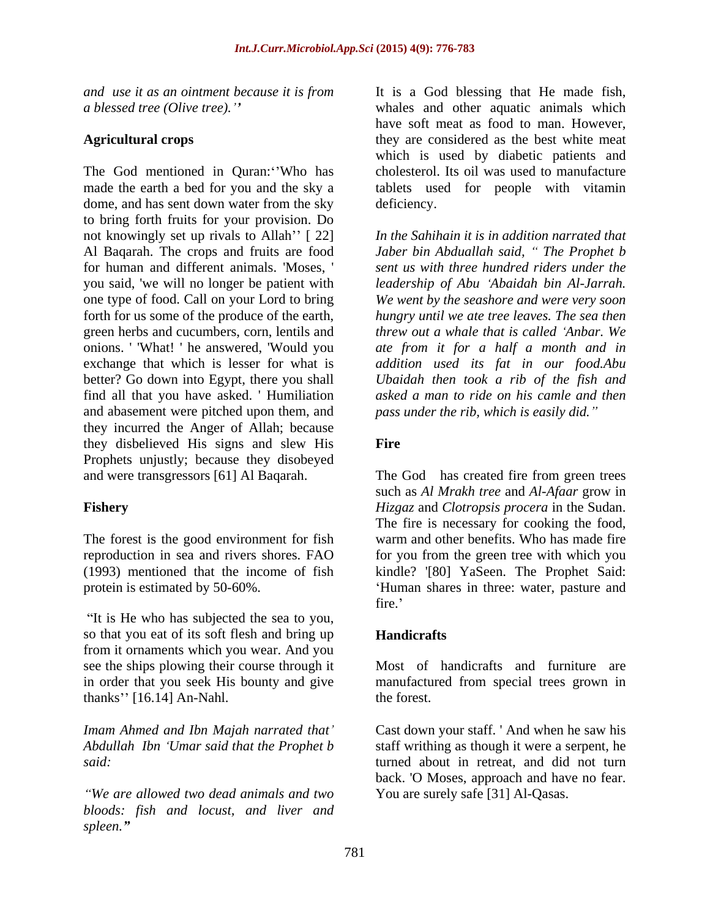The God mentioned in Quran: 'Who has made the earth a bed for you and the sky a tablets used for people with vitamin dome, and has sent down water from the sky deficiency. to bring forth fruits for your provision. Do not knowingly set up rivals to Allah''  $[22]$ Al Baqarah. The crops and fruits are food *Jaber bin Abduallah said, The Prophet b* for human and different animals. 'Moses, ' *sent us with three hundred riders under the* you said, 'we will no longer be patient with *leadership of Abu Abaidah bin Al-Jarrah.*  one type of food. Call on your Lord to bring *We went by the seashore and were very soon*  forth for us some of the produce of the earth, *hungry until we ate tree leaves. The sea then* green herbs and cucumbers, corn, lentils and *threw out a whale that is called Anbar. We* onions. ' 'What! ' he answered, 'Would you *ate from it for a half a month and in* exchange that which is lesser for what is *addition used its fat in our food.Abu* better? Go down into Egypt, there you shall *Ubaidah then took a rib of the fish and* find all that you have asked. ' Humiliation and abasement were pitched upon them, and they incurred the Anger of Allah; because they disbelieved His signs and slew His Prophets unjustly; because they disobeyed and were transgressors [61] Al Baqarah. The God has created fire from green trees

The forest is the good environment for fish

"It is He who has subjected the sea to you, so that you eat of its soft flesh and bring up **Handicrafts** from it ornaments which you wear. And you see the ships plowing their course through it thanks" [16.14] An-Nahl. the forest.

*We are allowed two dead animals and two bloods: fish and locust, and liver and spleen.*

*and use it as an ointment because it is from* It is a God blessing that He made fish, *a blessed tree (Olive tree).* whales and other aquatic animals which Agricultural crops **they** are considered as the best white meat have soft meat as food to man. However, which is used by diabetic patients and cholesterol. Its oil was used to manufacture deficiency.

> *In the Sahihain it is in addition narrated that asked a man to ride on his camle and then pass under the rib, which is easily did.*

### **Fire**

**Fishery**  *Hizgaz* and *Clotropsis procera* in the Sudan. reproduction in sea and rivers shores. FAO for you from the green tree with which you (1993) mentioned that the income of fish kindle? '[80] YaSeen. The Prophet Said: protein is estimated by 50-60%. Human shares in three: water, pasture and such as *Al Mrakh tree* and *Al-Afaar* grow in The fire is necessary for cooking the food, warm and other benefits. Who has made fire fire.'

### **Handicrafts**

in order that you seek His bounty and give manufactured from special trees grown in Most of handicrafts and furniture are the forest.

*Imam Ahmed and Ibn Majah narrated that* Cast down your staff. ' And when he saw his *Abdullah Ibn Umar said that the Prophet b* staff writhing as though it were a serpent, he said: **said: said: said: said: said: said: said: said: said: said: said: said: sample: sample: sample: sample: sample: sample: sample: sample: sample: sample: sample: sample:** back. 'O Moses, approach and have no fear. You are surely safe [31] Al-Qasas.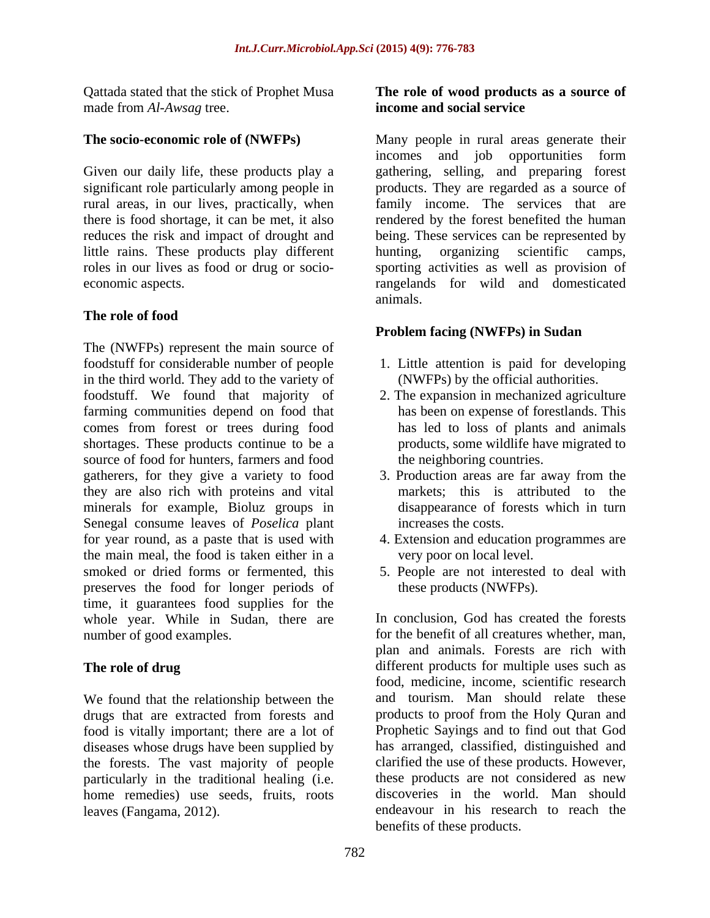Qattada stated that the stick of Prophet Musa made from *Al-Awsag* tree. **he is a set in the set of the income and social service** 

little rains. These products play different hunting, organizing scientific camps,

### **The role of food**

The (NWFPs) represent the main source of foodstuff for considerable number of people in the third world. They add to the variety of foodstuff. We found that majority of farming communities depend on food that comes from forest or trees during food shortages. These products continue to be a source of food for hunters, farmers and food gatherers, for they give a variety to food they are also rich with proteins and vital minerals for example, Bioluz groups in Senegal consume leaves of *Poselica* plant for year round, as a paste that is used with 4. Extension and education programmes are the main meal, the food is taken either in a smoked or dried forms or fermented, this 5. People are not interested to deal with preserves the food for longer periods of time, it guarantees food supplies for the whole year. While in Sudan, there are

We found that the relationship between the food is vitally important; there are a lot of diseases whose drugs have been supplied by the forests. The vast majority of people home remedies) use seeds, fruits, roots leaves (Fangama, 2012).

### **The role of wood products as a source of income and social service**

**The socio-economic role of (NWFPs)** Many people in rural areas generate their Given our daily life, these products play a gathering, selling, and preparing forest significant role particularly among people in products. They are regarded as a source of rural areas, in our lives, practically, when family income. The services that are there is food shortage, it can be met, it also rendered by the forest benefited the human reduces the risk and impact of drought and being. These services can be represented by roles in our lives as food or drug or socio- sporting activities as well as provision of economic aspects. rangelands for wild and domesticated incomes and job opportunities form hunting, organizing scientific camps, animals.

### **Problem facing (NWFPs) in Sudan**

- 1. Little attention is paid for developing (NWFPs) by the official authorities.
- 2. The expansion in mechanized agriculture has been on expense of forestlands. This has led to loss of plants and animals products, some wildlife have migrated to the neighboring countries.
- 3. Production areas are far away from the markets; this is attributed to the disappearance of forests which in turn increases the costs.
- very poor on local level.
- these products (NWFPs).

number of good examples. The benefit of all creatures whether, man, **The role of drug** different products for multiple uses such as drugs that are extracted from forests and products to proof from the Holy Quran and particularly in the traditional healing (i.e. these products are not considered as new leaves (Fangama, 2012). endeavour in his research to reach the In conclusion, God has created the forests plan and animals. Forests are rich with food, medicine, income, scientific research and tourism. Man should relate these products to proof from the Holy Quran and Prophetic Sayings and to find out that God has arranged, classified, distinguished and clarified the use of these products. However, discoveries in the world. Man should benefits of these products.